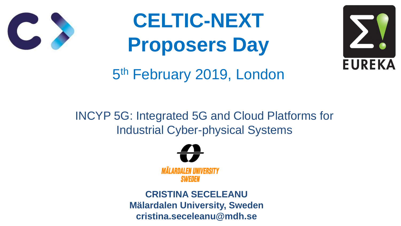### INCYP 5G: Integrated 5G and Cloud Platforms for Industrial Cyber-physical Systems

# **CELTIC-NEXT Proposers Day** 5 th February 2019, London





**CRISTINA SECELEANU Mälardalen University, Sweden cristina.seceleanu@mdh.se**



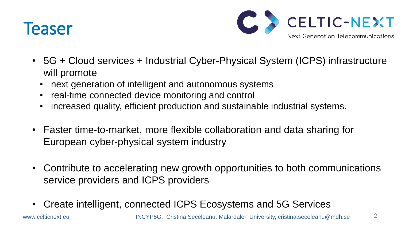### Teaser





- 5G + Cloud services + Industrial Cyber-Physical System (ICPS) infrastructure will promote
	-
	-
	- next generation of intelligent and autonomous systems • real-time connected device monitoring and control • increased quality, efficient production and sustainable industrial systems.
- Faster time-to-market, more flexible collaboration and data sharing for European cyber-physical system industry
- Contribute to accelerating new growth opportunities to both communications service providers and ICPS providers
- Create intelligent, connected ICPS Ecosystems and 5G Services



www.celticnext.eu **INCYP5G, Cristina Seceleanu, Mälardalen University, cristina.seceleanu@mdh.se**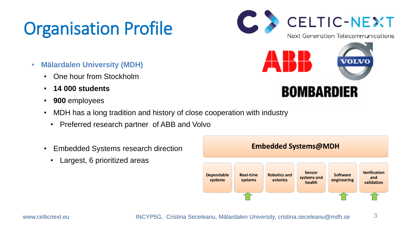## Organisation Profile

- **Mälardalen University (MDH)**
	- One hour from Stockholm
	- **14 000 students**
	- **900** employees
	- MDH has a long tradition and history of close cooperation with industry
		- Preferred research partner of ABB and Volvo
	- Embedded Systems research direction
		- Largest, 6 prioritized areas

www.celticnext.eu INCYP5G, Cristina Seceleanu, Mälardalen University, cristina.seceleanu@mdh.se 3







**BOMBARDIER** 



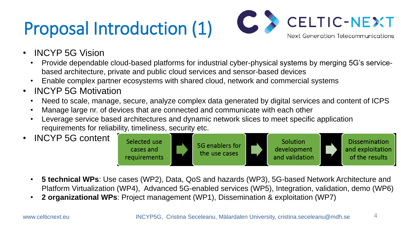## Proposal Introduction (1)



• Provide dependable cloud-based platforms for industrial cyber-physical systems by merging 5G's service-

• Need to scale, manage, secure, analyze complex data generated by digital services and content of ICPS Leverage service based architectures and dynamic network slices to meet specific application

- INCYP 5G Vision
	- based architecture, private and public cloud services and sensor-based devices
	- Enable complex partner ecosystems with shared cloud, network and commercial systems
- INCYP 5G Motivation
	-
	- Manage large nr. of devices that are connected and communicate with each other
	- requirements for reliability, timeliness, security etc.
- INCYP 5G content



- 
- 



• **5 technical WPs**: Use cases (WP2), Data, QoS and hazards (WP3), 5G-based Network Architecture and Platform Virtualization (WP4), Advanced 5G-enabled services (WP5), Integration, validation, demo (WP6) • **2 organizational WPs**: Project management (WP1), Dissemination & exploitation (WP7)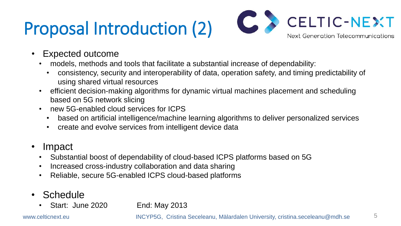## Proposal Introduction (2)

• consistency, security and interoperability of data, operation safety, and timing predictability of

• efficient decision-making algorithms for dynamic virtual machines placement and scheduling

- Expected outcome
	- models, methods and tools that facilitate a substantial increase of dependability:
		- using shared virtual resources
	- based on 5G network slicing
	- new 5G-enabled cloud services for ICPS
		-
		- create and evolve services from intelligent device data
- Impact
	- Substantial boost of dependability of cloud-based ICPS platforms based on 5G
	- Increased cross-industry collaboration and data sharing
	- Reliable, secure 5G-enabled ICPS cloud-based platforms
- **Schedule** 
	- Start: June 2020 End: May 2013



• based on artificial intelligence/machine learning algorithms to deliver personalized services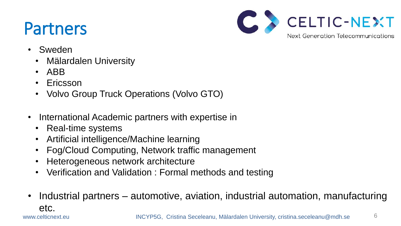## Partners



- Sweden
	- Mälardalen University
	- ABB
	- Ericsson
	- Volvo Group Truck Operations (Volvo GTO)
- International Academic partners with expertise in
	- Real-time systems
	- Artificial intelligence/Machine learning
	- Fog/Cloud Computing, Network traffic management
	- Heterogeneous network architecture
	- Verification and Validation : Formal methods and testing
- etc.



#### • Industrial partners – automotive, aviation, industrial automation, manufacturing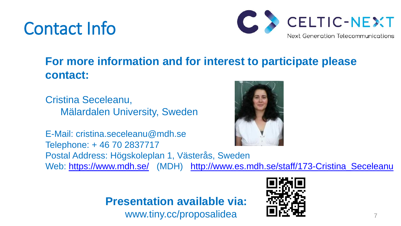## Contact Info



### **For more information and for interest to participate please**





E-Mail: cristina.seceleanu@mdh.se Telephone: + 46 70 2837717 Postal Address: Högskoleplan 1, Västerås, Sweden Web: <https://www.mdh.se/> (MDH) http://www.es.mdh.se/staff/173-Cristina Seceleanu

**contact:**

Cristina Seceleanu, Mälardalen University, Sweden

#### **Presentation available via:** www.tiny.cc/proposalidea